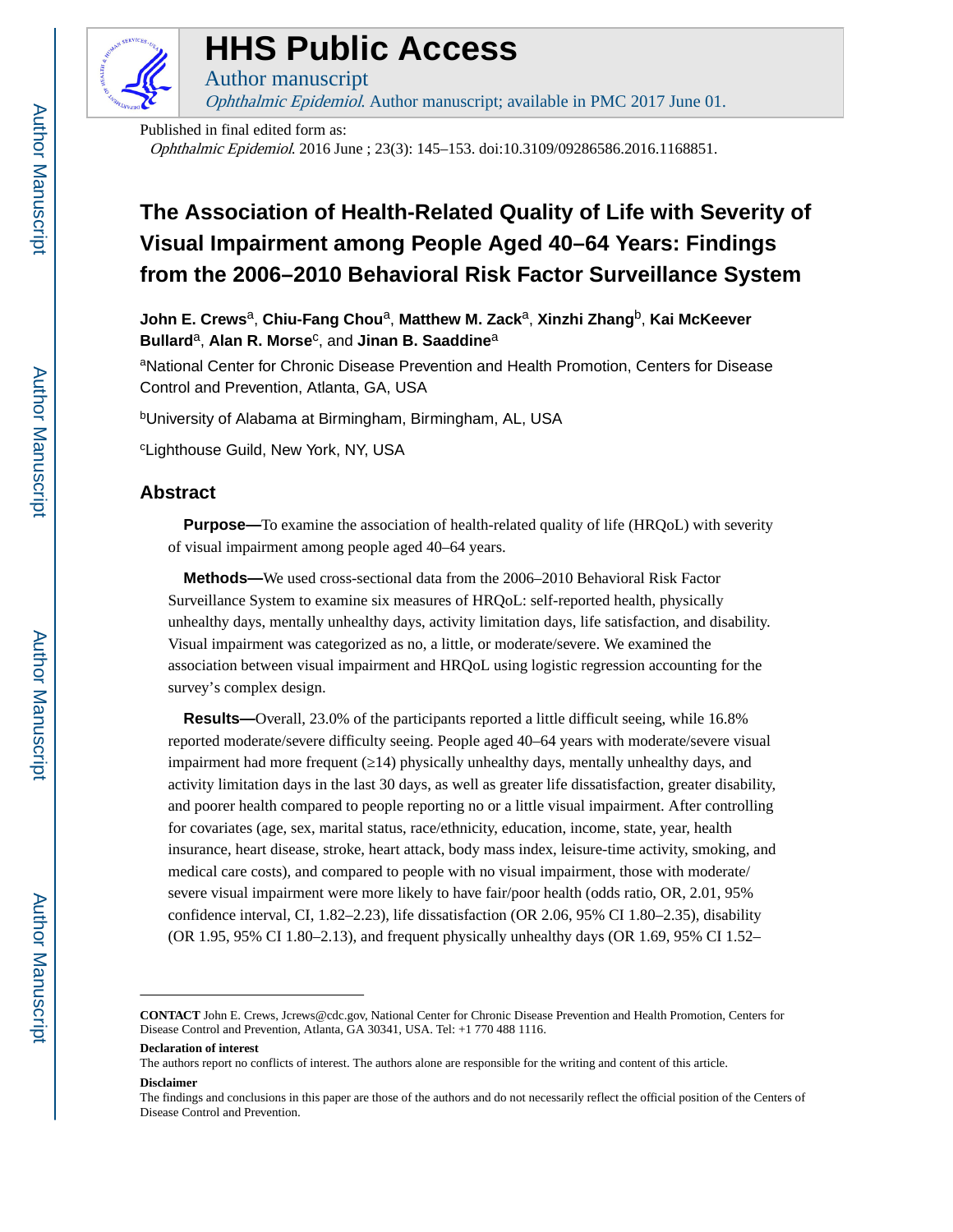

# **HHS Public Access**

Ophthalmic Epidemiol. Author manuscript; available in PMC 2017 June 01.

Published in final edited form as:

Author manuscript

Ophthalmic Epidemiol. 2016 June ; 23(3): 145–153. doi:10.3109/09286586.2016.1168851.

# **The Association of Health-Related Quality of Life with Severity of Visual Impairment among People Aged 40–64 Years: Findings from the 2006–2010 Behavioral Risk Factor Surveillance System**

**John E. Crews**a, **Chiu-Fang Chou**a, **Matthew M. Zack**a, **Xinzhi Zhang**b, **Kai McKeever Bullard**a, **Alan R. Morse**<sup>c</sup> , and **Jinan B. Saaddine**<sup>a</sup>

aNational Center for Chronic Disease Prevention and Health Promotion, Centers for Disease Control and Prevention, Atlanta, GA, USA

<sup>b</sup>University of Alabama at Birmingham, Birmingham, AL, USA

<sup>c</sup>Lighthouse Guild, New York, NY, USA

# **Abstract**

**Purpose—**To examine the association of health-related quality of life (HRQoL) with severity of visual impairment among people aged 40–64 years.

 **Methods—**We used cross-sectional data from the 2006–2010 Behavioral Risk Factor Surveillance System to examine six measures of HRQoL: self-reported health, physically unhealthy days, mentally unhealthy days, activity limitation days, life satisfaction, and disability. Visual impairment was categorized as no, a little, or moderate/severe. We examined the association between visual impairment and HRQoL using logistic regression accounting for the survey's complex design.

 **Results—**Overall, 23.0% of the participants reported a little difficult seeing, while 16.8% reported moderate/severe difficulty seeing. People aged 40–64 years with moderate/severe visual impairment had more frequent ( $14$ ) physically unhealthy days, mentally unhealthy days, and activity limitation days in the last 30 days, as well as greater life dissatisfaction, greater disability, and poorer health compared to people reporting no or a little visual impairment. After controlling for covariates (age, sex, marital status, race/ethnicity, education, income, state, year, health insurance, heart disease, stroke, heart attack, body mass index, leisure-time activity, smoking, and medical care costs), and compared to people with no visual impairment, those with moderate/ severe visual impairment were more likely to have fair/poor health (odds ratio, OR, 2.01, 95% confidence interval, CI, 1.82–2.23), life dissatisfaction (OR 2.06, 95% CI 1.80–2.35), disability (OR 1.95, 95% CI 1.80–2.13), and frequent physically unhealthy days (OR 1.69, 95% CI 1.52–

**Declaration of interest**

The authors report no conflicts of interest. The authors alone are responsible for the writing and content of this article.

#### **Disclaimer**

**CONTACT** John E. Crews, Jcrews@cdc.gov, National Center for Chronic Disease Prevention and Health Promotion, Centers for Disease Control and Prevention, Atlanta, GA 30341, USA. Tel: +1 770 488 1116.

The findings and conclusions in this paper are those of the authors and do not necessarily reflect the official position of the Centers of Disease Control and Prevention.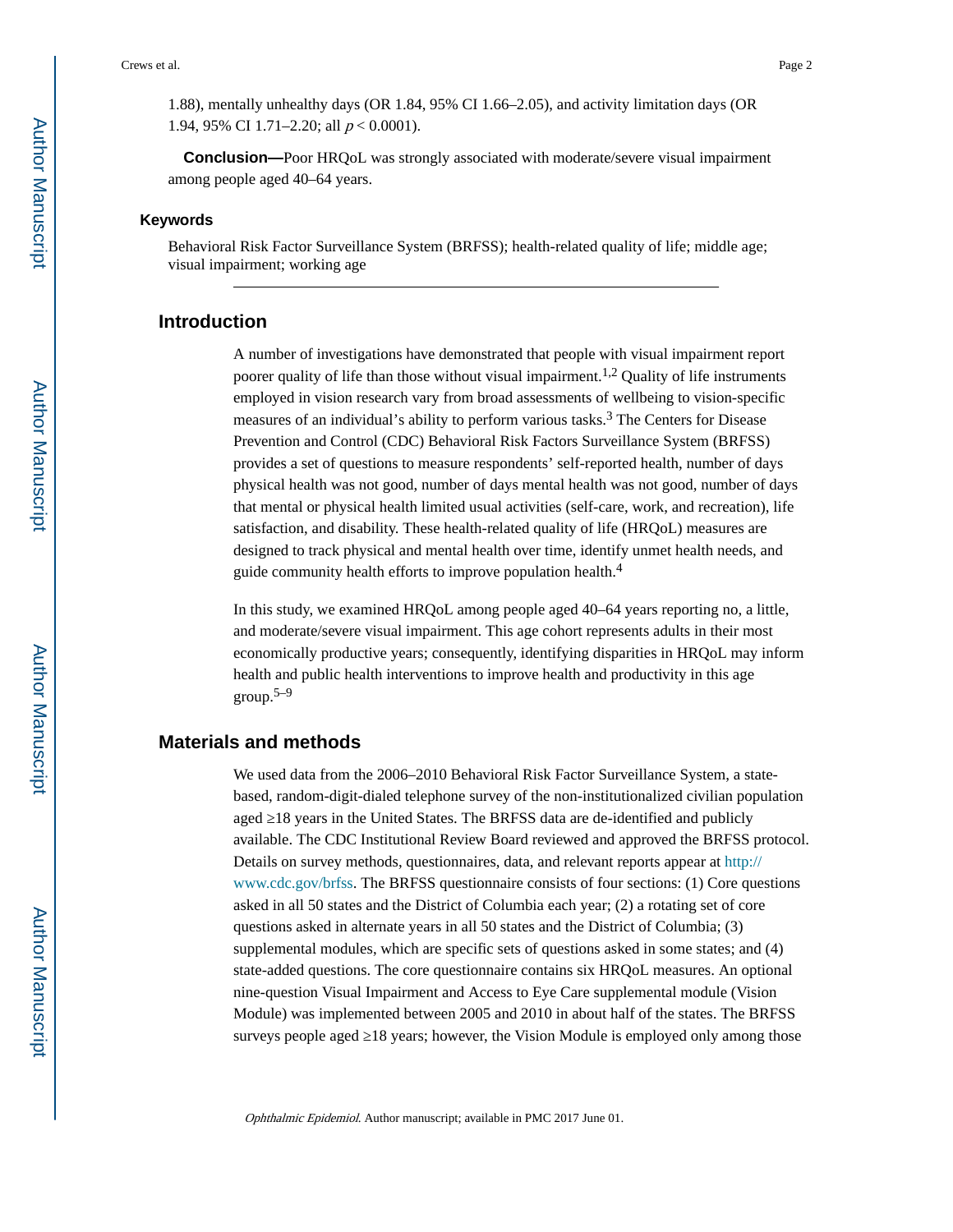**Conclusion—**Poor HRQoL was strongly associated with moderate/severe visual impairment among people aged 40–64 years.

#### **Keywords**

Behavioral Risk Factor Surveillance System (BRFSS); health-related quality of life; middle age; visual impairment; working age

# **Introduction**

A number of investigations have demonstrated that people with visual impairment report poorer quality of life than those without visual impairment.<sup>1,2</sup> Quality of life instruments employed in vision research vary from broad assessments of wellbeing to vision-specific measures of an individual's ability to perform various tasks.<sup>3</sup> The Centers for Disease Prevention and Control (CDC) Behavioral Risk Factors Surveillance System (BRFSS) provides a set of questions to measure respondents' self-reported health, number of days physical health was not good, number of days mental health was not good, number of days that mental or physical health limited usual activities (self-care, work, and recreation), life satisfaction, and disability. These health-related quality of life (HRQoL) measures are designed to track physical and mental health over time, identify unmet health needs, and guide community health efforts to improve population health.<sup>4</sup>

In this study, we examined HRQoL among people aged 40–64 years reporting no, a little, and moderate/severe visual impairment. This age cohort represents adults in their most economically productive years; consequently, identifying disparities in HRQoL may inform health and public health interventions to improve health and productivity in this age group. $5-9$ 

# **Materials and methods**

We used data from the 2006–2010 Behavioral Risk Factor Surveillance System, a statebased, random-digit-dialed telephone survey of the non-institutionalized civilian population aged 18 years in the United States. The BRFSS data are de-identified and publicly available. The CDC Institutional Review Board reviewed and approved the BRFSS protocol. Details on survey methods, questionnaires, data, and relevant reports appear at [http://](http://www.cdc.gov/brfss) [www.cdc.gov/brfss.](http://www.cdc.gov/brfss) The BRFSS questionnaire consists of four sections: (1) Core questions asked in all 50 states and the District of Columbia each year; (2) a rotating set of core questions asked in alternate years in all 50 states and the District of Columbia; (3) supplemental modules, which are specific sets of questions asked in some states; and (4) state-added questions. The core questionnaire contains six HRQoL measures. An optional nine-question Visual Impairment and Access to Eye Care supplemental module (Vision Module) was implemented between 2005 and 2010 in about half of the states. The BRFSS surveys people aged 18 years; however, the Vision Module is employed only among those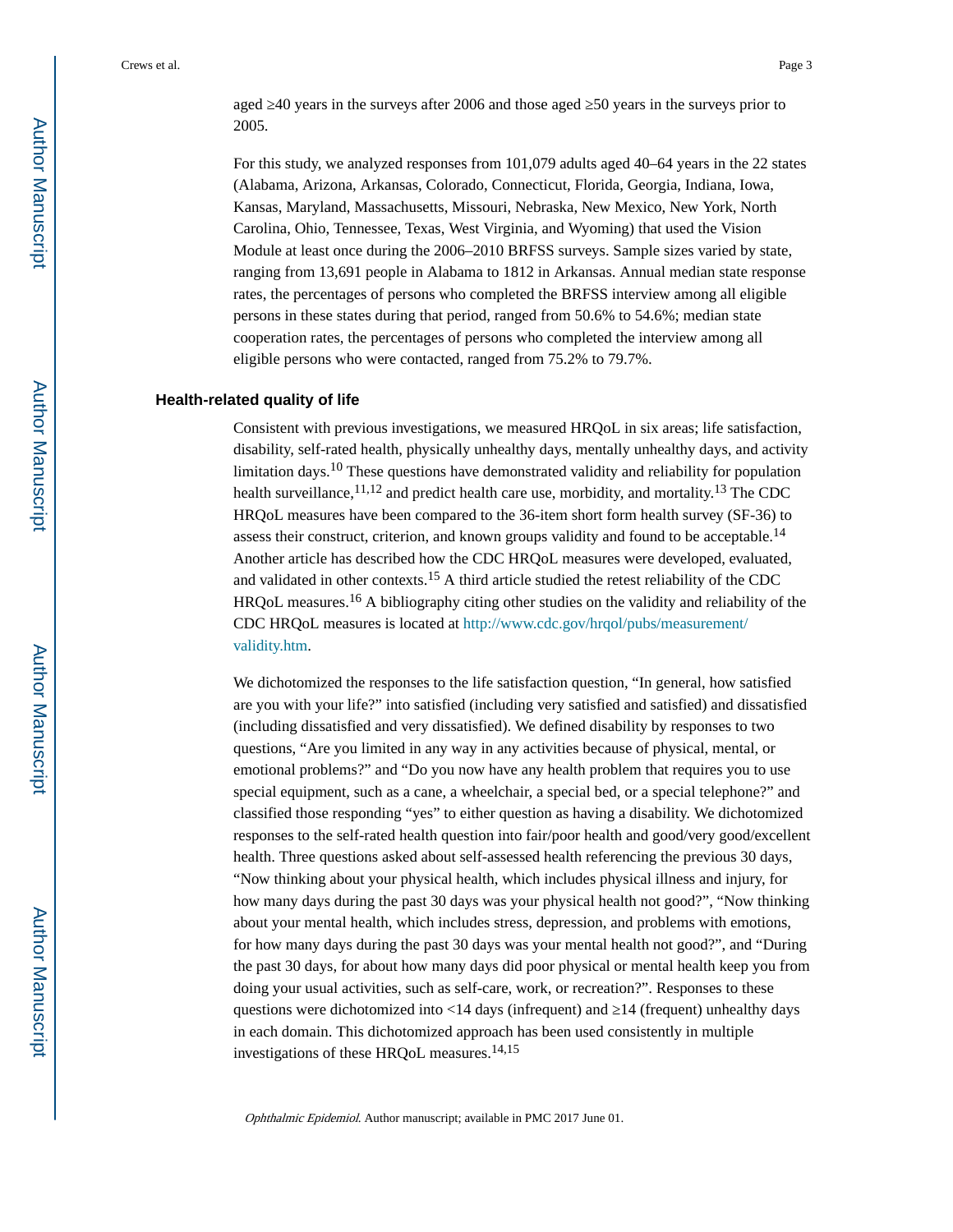aged  $\frac{40}{20}$  years in the surveys after 2006 and those aged  $\frac{50}{20}$  years in the surveys prior to 2005.

For this study, we analyzed responses from 101,079 adults aged 40–64 years in the 22 states (Alabama, Arizona, Arkansas, Colorado, Connecticut, Florida, Georgia, Indiana, Iowa, Kansas, Maryland, Massachusetts, Missouri, Nebraska, New Mexico, New York, North Carolina, Ohio, Tennessee, Texas, West Virginia, and Wyoming) that used the Vision Module at least once during the 2006–2010 BRFSS surveys. Sample sizes varied by state, ranging from 13,691 people in Alabama to 1812 in Arkansas. Annual median state response rates, the percentages of persons who completed the BRFSS interview among all eligible persons in these states during that period, ranged from 50.6% to 54.6%; median state cooperation rates, the percentages of persons who completed the interview among all eligible persons who were contacted, ranged from 75.2% to 79.7%.

### **Health-related quality of life**

Consistent with previous investigations, we measured HRQoL in six areas; life satisfaction, disability, self-rated health, physically unhealthy days, mentally unhealthy days, and activity limitation days.<sup>10</sup> These questions have demonstrated validity and reliability for population health surveillance,<sup>11,12</sup> and predict health care use, morbidity, and mortality.<sup>13</sup> The CDC HRQoL measures have been compared to the 36-item short form health survey (SF-36) to assess their construct, criterion, and known groups validity and found to be acceptable.<sup>14</sup> Another article has described how the CDC HRQoL measures were developed, evaluated, and validated in other contexts.15 A third article studied the retest reliability of the CDC HRQoL measures.16 A bibliography citing other studies on the validity and reliability of the CDC HRQoL measures is located at [http://www.cdc.gov/hrqol/pubs/measurement/](http://www.cdc.gov/hrqol/pubs/measurement/validity.htm) [validity.htm.](http://www.cdc.gov/hrqol/pubs/measurement/validity.htm)

We dichotomized the responses to the life satisfaction question, "In general, how satisfied are you with your life?" into satisfied (including very satisfied and satisfied) and dissatisfied (including dissatisfied and very dissatisfied). We defined disability by responses to two questions, "Are you limited in any way in any activities because of physical, mental, or emotional problems?" and "Do you now have any health problem that requires you to use special equipment, such as a cane, a wheelchair, a special bed, or a special telephone?" and classified those responding "yes" to either question as having a disability. We dichotomized responses to the self-rated health question into fair/poor health and good/very good/excellent health. Three questions asked about self-assessed health referencing the previous 30 days, "Now thinking about your physical health, which includes physical illness and injury, for how many days during the past 30 days was your physical health not good?", "Now thinking about your mental health, which includes stress, depression, and problems with emotions, for how many days during the past 30 days was your mental health not good?", and "During the past 30 days, for about how many days did poor physical or mental health keep you from doing your usual activities, such as self-care, work, or recreation?". Responses to these questions were dichotomized into  $\langle 14 \text{ days}$  (infrequent) and  $\langle 14 \text{ (frequent)} \rangle$  unhealthy days in each domain. This dichotomized approach has been used consistently in multiple investigations of these HRQoL measures.14,15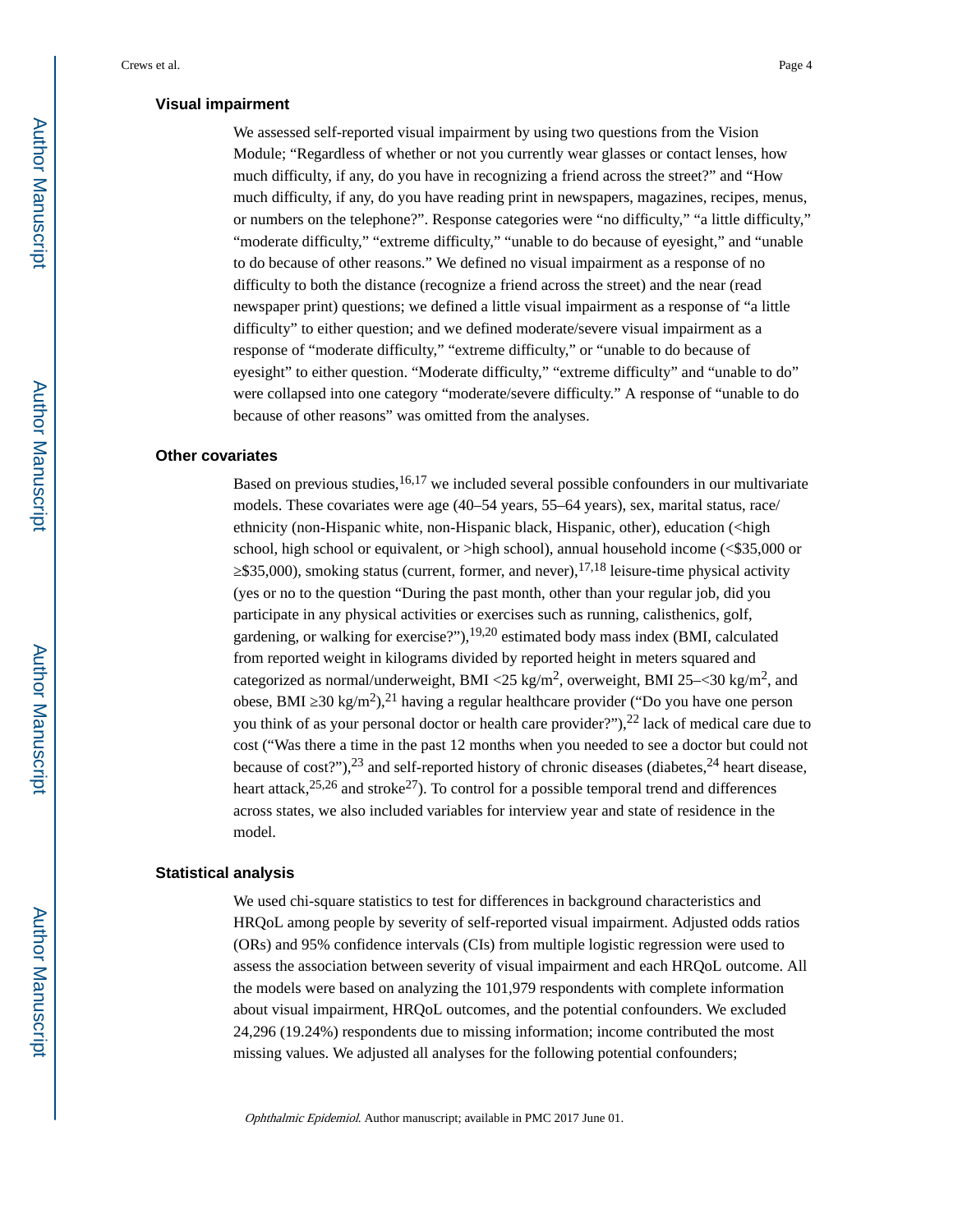#### **Visual impairment**

We assessed self-reported visual impairment by using two questions from the Vision Module; "Regardless of whether or not you currently wear glasses or contact lenses, how much difficulty, if any, do you have in recognizing a friend across the street?" and "How much difficulty, if any, do you have reading print in newspapers, magazines, recipes, menus, or numbers on the telephone?". Response categories were "no difficulty," "a little difficulty," "moderate difficulty," "extreme difficulty," "unable to do because of eyesight," and "unable to do because of other reasons." We defined no visual impairment as a response of no difficulty to both the distance (recognize a friend across the street) and the near (read newspaper print) questions; we defined a little visual impairment as a response of "a little difficulty" to either question; and we defined moderate/severe visual impairment as a response of "moderate difficulty," "extreme difficulty," or "unable to do because of eyesight" to either question. "Moderate difficulty," "extreme difficulty" and "unable to do" were collapsed into one category "moderate/severe difficulty." A response of "unable to do because of other reasons" was omitted from the analyses.

#### **Other covariates**

Based on previous studies, <sup>16,17</sup> we included several possible confounders in our multivariate models. These covariates were age (40–54 years, 55–64 years), sex, marital status, race/ ethnicity (non-Hispanic white, non-Hispanic black, Hispanic, other), education (<high school, high school or equivalent, or >high school), annual household income (<\$35,000 or  $$35,000$ ), smoking status (current, former, and never),<sup>17,18</sup> leisure-time physical activity (yes or no to the question "During the past month, other than your regular job, did you participate in any physical activities or exercises such as running, calisthenics, golf, gardening, or walking for exercise?"), $19,20$  estimated body mass index (BMI, calculated from reported weight in kilograms divided by reported height in meters squared and categorized as normal/underweight, BMI <25 kg/m<sup>2</sup>, overweight, BMI 25-<30 kg/m<sup>2</sup>, and obese, BMI  $30 \text{ kg/m}^2$ ,  $^{21}$  having a regular healthcare provider ("Do you have one person you think of as your personal doctor or health care provider?"), $^{22}$  lack of medical care due to cost ("Was there a time in the past 12 months when you needed to see a doctor but could not because of cost?"),<sup>23</sup> and self-reported history of chronic diseases (diabetes,<sup>24</sup> heart disease, heart attack,  $25,26$  and stroke<sup>27</sup>). To control for a possible temporal trend and differences across states, we also included variables for interview year and state of residence in the model.

#### **Statistical analysis**

We used chi-square statistics to test for differences in background characteristics and HRQoL among people by severity of self-reported visual impairment. Adjusted odds ratios (ORs) and 95% confidence intervals (CIs) from multiple logistic regression were used to assess the association between severity of visual impairment and each HRQoL outcome. All the models were based on analyzing the 101,979 respondents with complete information about visual impairment, HRQoL outcomes, and the potential confounders. We excluded 24,296 (19.24%) respondents due to missing information; income contributed the most missing values. We adjusted all analyses for the following potential confounders;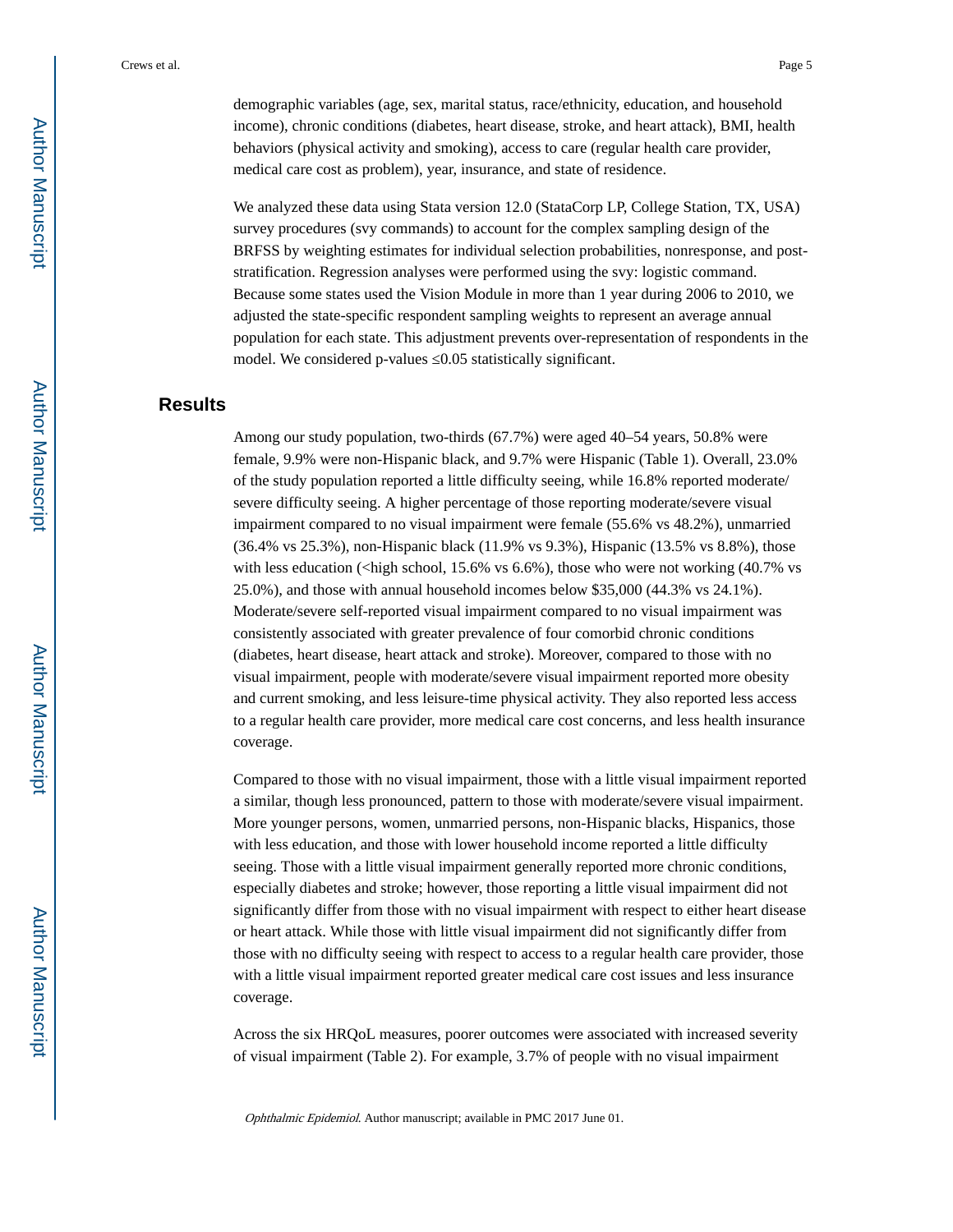demographic variables (age, sex, marital status, race/ethnicity, education, and household income), chronic conditions (diabetes, heart disease, stroke, and heart attack), BMI, health behaviors (physical activity and smoking), access to care (regular health care provider, medical care cost as problem), year, insurance, and state of residence.

We analyzed these data using Stata version 12.0 (StataCorp LP, College Station, TX, USA) survey procedures (svy commands) to account for the complex sampling design of the BRFSS by weighting estimates for individual selection probabilities, nonresponse, and poststratification. Regression analyses were performed using the svy: logistic command. Because some states used the Vision Module in more than 1 year during 2006 to 2010, we adjusted the state-specific respondent sampling weights to represent an average annual population for each state. This adjustment prevents over-representation of respondents in the model. We considered p-values 0.05 statistically significant.

# **Results**

Among our study population, two-thirds (67.7%) were aged 40–54 years, 50.8% were female, 9.9% were non-Hispanic black, and 9.7% were Hispanic (Table 1). Overall, 23.0% of the study population reported a little difficulty seeing, while 16.8% reported moderate/ severe difficulty seeing. A higher percentage of those reporting moderate/severe visual impairment compared to no visual impairment were female (55.6% vs 48.2%), unmarried (36.4% vs 25.3%), non-Hispanic black (11.9% vs 9.3%), Hispanic (13.5% vs 8.8%), those with less education ( $\langle$ high school, 15.6% vs 6.6%), those who were not working (40.7% vs 25.0%), and those with annual household incomes below \$35,000 (44.3% vs 24.1%). Moderate/severe self-reported visual impairment compared to no visual impairment was consistently associated with greater prevalence of four comorbid chronic conditions (diabetes, heart disease, heart attack and stroke). Moreover, compared to those with no visual impairment, people with moderate/severe visual impairment reported more obesity and current smoking, and less leisure-time physical activity. They also reported less access to a regular health care provider, more medical care cost concerns, and less health insurance coverage.

Compared to those with no visual impairment, those with a little visual impairment reported a similar, though less pronounced, pattern to those with moderate/severe visual impairment. More younger persons, women, unmarried persons, non-Hispanic blacks, Hispanics, those with less education, and those with lower household income reported a little difficulty seeing. Those with a little visual impairment generally reported more chronic conditions, especially diabetes and stroke; however, those reporting a little visual impairment did not significantly differ from those with no visual impairment with respect to either heart disease or heart attack. While those with little visual impairment did not significantly differ from those with no difficulty seeing with respect to access to a regular health care provider, those with a little visual impairment reported greater medical care cost issues and less insurance coverage.

Across the six HRQoL measures, poorer outcomes were associated with increased severity of visual impairment (Table 2). For example, 3.7% of people with no visual impairment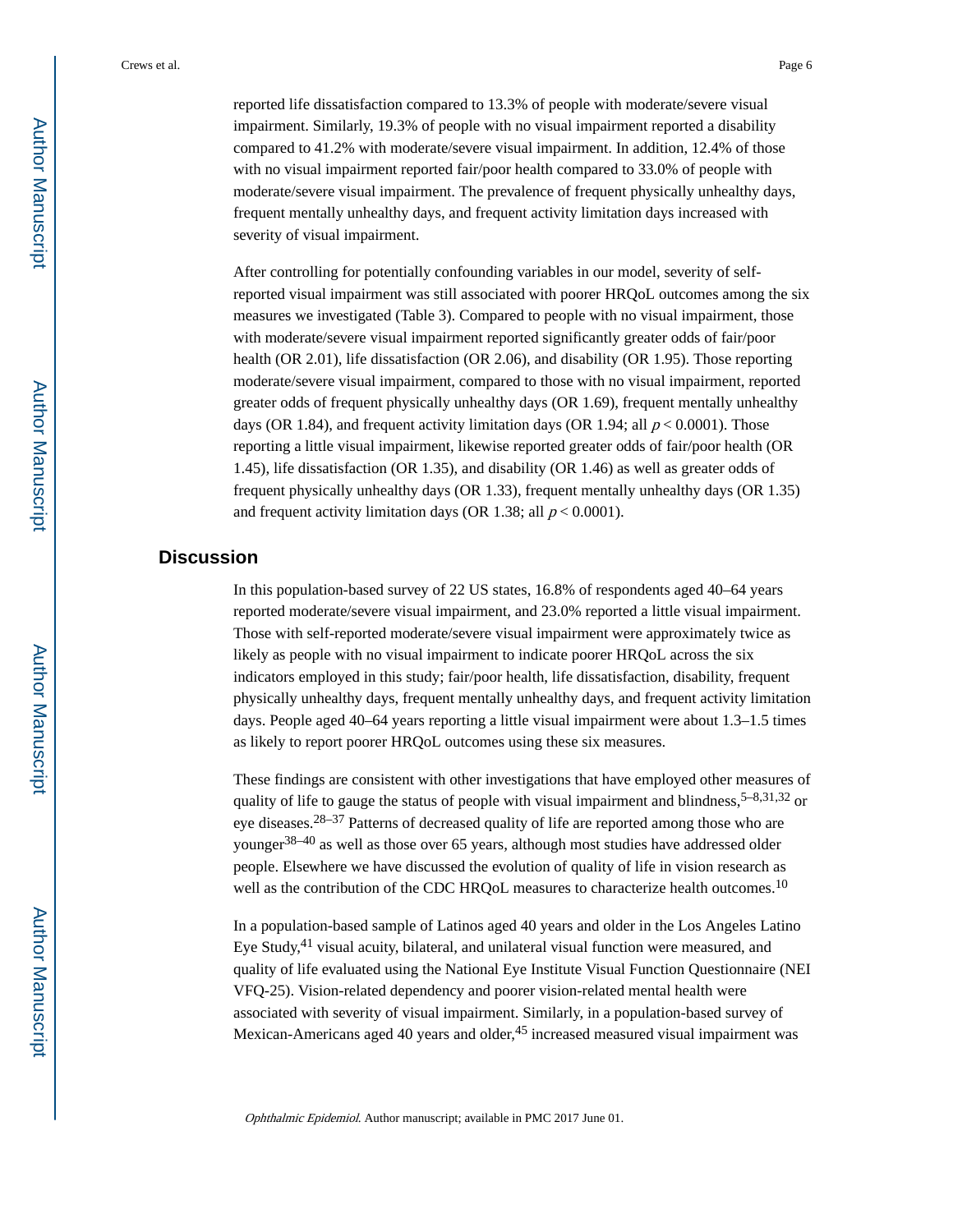reported life dissatisfaction compared to 13.3% of people with moderate/severe visual impairment. Similarly, 19.3% of people with no visual impairment reported a disability compared to 41.2% with moderate/severe visual impairment. In addition, 12.4% of those with no visual impairment reported fair/poor health compared to 33.0% of people with moderate/severe visual impairment. The prevalence of frequent physically unhealthy days, frequent mentally unhealthy days, and frequent activity limitation days increased with severity of visual impairment.

After controlling for potentially confounding variables in our model, severity of selfreported visual impairment was still associated with poorer HRQoL outcomes among the six measures we investigated (Table 3). Compared to people with no visual impairment, those with moderate/severe visual impairment reported significantly greater odds of fair/poor health (OR 2.01), life dissatisfaction (OR 2.06), and disability (OR 1.95). Those reporting moderate/severe visual impairment, compared to those with no visual impairment, reported greater odds of frequent physically unhealthy days (OR 1.69), frequent mentally unhealthy days (OR 1.84), and frequent activity limitation days (OR 1.94; all  $p < 0.0001$ ). Those reporting a little visual impairment, likewise reported greater odds of fair/poor health (OR 1.45), life dissatisfaction (OR 1.35), and disability (OR 1.46) as well as greater odds of frequent physically unhealthy days (OR 1.33), frequent mentally unhealthy days (OR 1.35) and frequent activity limitation days (OR 1.38; all  $p < 0.0001$ ).

# **Discussion**

In this population-based survey of 22 US states, 16.8% of respondents aged 40–64 years reported moderate/severe visual impairment, and 23.0% reported a little visual impairment. Those with self-reported moderate/severe visual impairment were approximately twice as likely as people with no visual impairment to indicate poorer HRQoL across the six indicators employed in this study; fair/poor health, life dissatisfaction, disability, frequent physically unhealthy days, frequent mentally unhealthy days, and frequent activity limitation days. People aged 40–64 years reporting a little visual impairment were about 1.3–1.5 times as likely to report poorer HRQoL outcomes using these six measures.

These findings are consistent with other investigations that have employed other measures of quality of life to gauge the status of people with visual impairment and blindness,  $5-8,31,32$  or eye diseases.28–37 Patterns of decreased quality of life are reported among those who are younger<sup>38–40</sup> as well as those over 65 years, although most studies have addressed older people. Elsewhere we have discussed the evolution of quality of life in vision research as well as the contribution of the CDC HRQoL measures to characterize health outcomes.<sup>10</sup>

In a population-based sample of Latinos aged 40 years and older in the Los Angeles Latino Eye Study, $41$  visual acuity, bilateral, and unilateral visual function were measured, and quality of life evaluated using the National Eye Institute Visual Function Questionnaire (NEI VFQ-25). Vision-related dependency and poorer vision-related mental health were associated with severity of visual impairment. Similarly, in a population-based survey of Mexican-Americans aged 40 years and older,<sup>45</sup> increased measured visual impairment was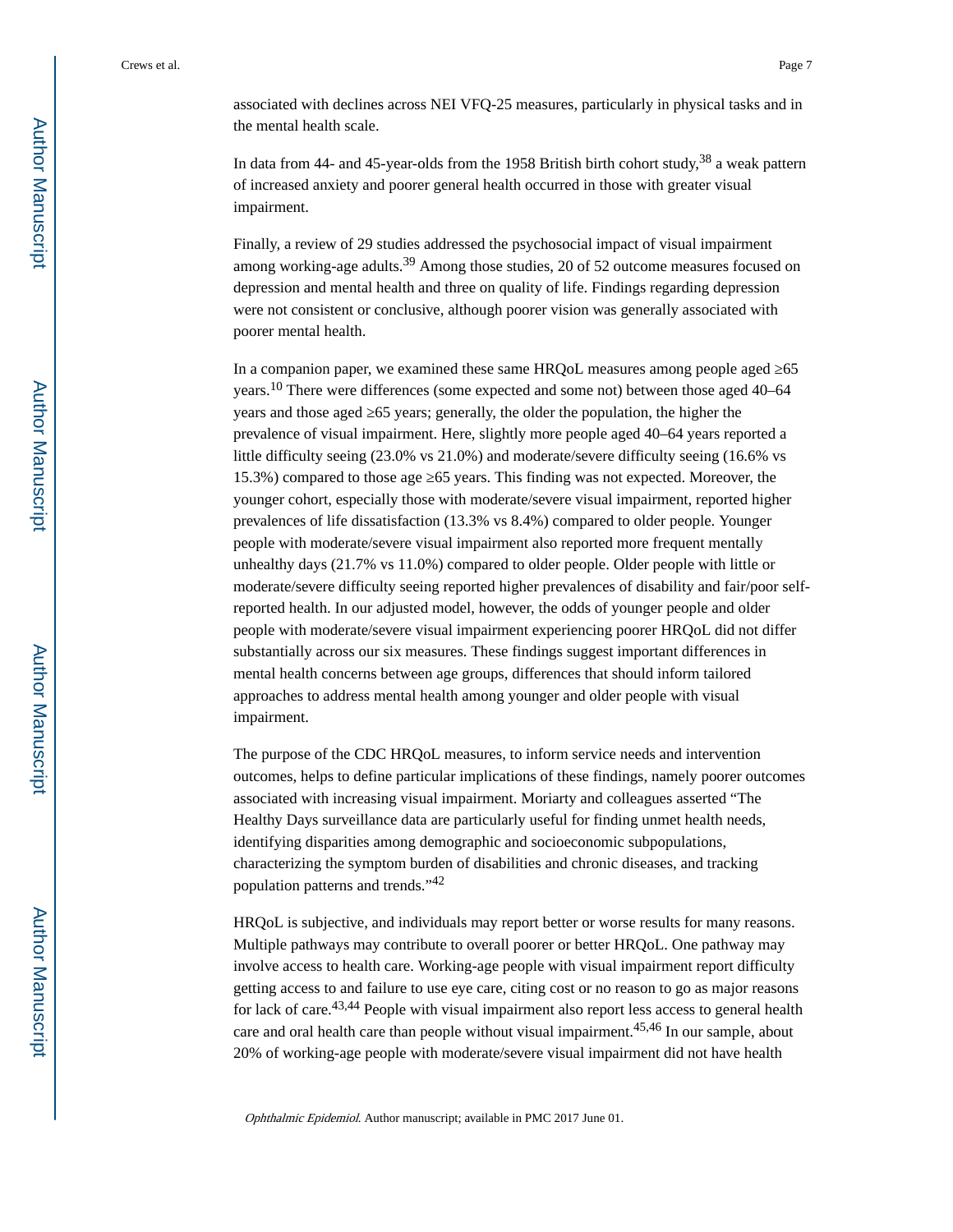associated with declines across NEI VFQ-25 measures, particularly in physical tasks and in the mental health scale.

In data from 44- and 45-year-olds from the 1958 British birth cohort study,  $38$  a weak pattern of increased anxiety and poorer general health occurred in those with greater visual impairment.

Finally, a review of 29 studies addressed the psychosocial impact of visual impairment among working-age adults.<sup>39</sup> Among those studies, 20 of 52 outcome measures focused on depression and mental health and three on quality of life. Findings regarding depression were not consistent or conclusive, although poorer vision was generally associated with poorer mental health.

In a companion paper, we examined these same HRQoL measures among people aged 65 years.10 There were differences (some expected and some not) between those aged 40–64 years and those aged  $\overline{65}$  years; generally, the older the population, the higher the prevalence of visual impairment. Here, slightly more people aged 40–64 years reported a little difficulty seeing (23.0% vs 21.0%) and moderate/severe difficulty seeing (16.6% vs 15.3%) compared to those age 65 years. This finding was not expected. Moreover, the younger cohort, especially those with moderate/severe visual impairment, reported higher prevalences of life dissatisfaction (13.3% vs 8.4%) compared to older people. Younger people with moderate/severe visual impairment also reported more frequent mentally unhealthy days (21.7% vs 11.0%) compared to older people. Older people with little or moderate/severe difficulty seeing reported higher prevalences of disability and fair/poor selfreported health. In our adjusted model, however, the odds of younger people and older people with moderate/severe visual impairment experiencing poorer HRQoL did not differ substantially across our six measures. These findings suggest important differences in mental health concerns between age groups, differences that should inform tailored approaches to address mental health among younger and older people with visual impairment.

The purpose of the CDC HRQoL measures, to inform service needs and intervention outcomes, helps to define particular implications of these findings, namely poorer outcomes associated with increasing visual impairment. Moriarty and colleagues asserted "The Healthy Days surveillance data are particularly useful for finding unmet health needs, identifying disparities among demographic and socioeconomic subpopulations, characterizing the symptom burden of disabilities and chronic diseases, and tracking population patterns and trends."<sup>42</sup>

HRQoL is subjective, and individuals may report better or worse results for many reasons. Multiple pathways may contribute to overall poorer or better HRQoL. One pathway may involve access to health care. Working-age people with visual impairment report difficulty getting access to and failure to use eye care, citing cost or no reason to go as major reasons for lack of care.<sup>43,44</sup> People with visual impairment also report less access to general health care and oral health care than people without visual impairment.<sup>45,46</sup> In our sample, about 20% of working-age people with moderate/severe visual impairment did not have health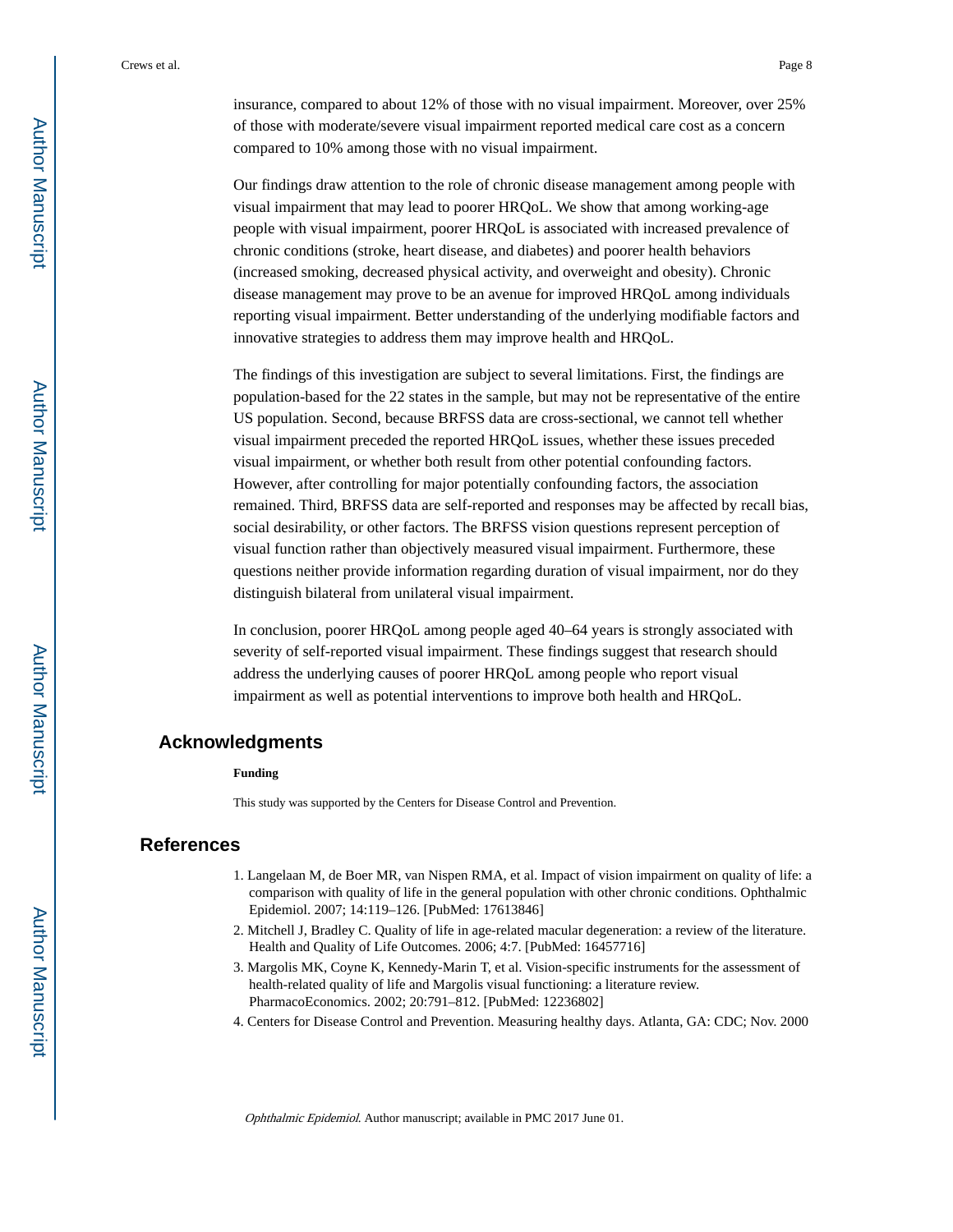insurance, compared to about 12% of those with no visual impairment. Moreover, over 25% of those with moderate/severe visual impairment reported medical care cost as a concern compared to 10% among those with no visual impairment.

Our findings draw attention to the role of chronic disease management among people with visual impairment that may lead to poorer HRQoL. We show that among working-age people with visual impairment, poorer HRQoL is associated with increased prevalence of chronic conditions (stroke, heart disease, and diabetes) and poorer health behaviors (increased smoking, decreased physical activity, and overweight and obesity). Chronic disease management may prove to be an avenue for improved HRQoL among individuals reporting visual impairment. Better understanding of the underlying modifiable factors and innovative strategies to address them may improve health and HRQoL.

The findings of this investigation are subject to several limitations. First, the findings are population-based for the 22 states in the sample, but may not be representative of the entire US population. Second, because BRFSS data are cross-sectional, we cannot tell whether visual impairment preceded the reported HRQoL issues, whether these issues preceded visual impairment, or whether both result from other potential confounding factors. However, after controlling for major potentially confounding factors, the association remained. Third, BRFSS data are self-reported and responses may be affected by recall bias, social desirability, or other factors. The BRFSS vision questions represent perception of visual function rather than objectively measured visual impairment. Furthermore, these questions neither provide information regarding duration of visual impairment, nor do they distinguish bilateral from unilateral visual impairment.

In conclusion, poorer HRQoL among people aged 40–64 years is strongly associated with severity of self-reported visual impairment. These findings suggest that research should address the underlying causes of poorer HRQoL among people who report visual impairment as well as potential interventions to improve both health and HRQoL.

# **Acknowledgments**

#### **Funding**

This study was supported by the Centers for Disease Control and Prevention.

## **References**

- 1. Langelaan M, de Boer MR, van Nispen RMA, et al. Impact of vision impairment on quality of life: a comparison with quality of life in the general population with other chronic conditions. Ophthalmic Epidemiol. 2007; 14:119–126. [PubMed: 17613846]
- 2. Mitchell J, Bradley C. Quality of life in age-related macular degeneration: a review of the literature. Health and Quality of Life Outcomes. 2006; 4:7. [PubMed: 16457716]
- 3. Margolis MK, Coyne K, Kennedy-Marin T, et al. Vision-specific instruments for the assessment of health-related quality of life and Margolis visual functioning: a literature review. PharmacoEconomics. 2002; 20:791–812. [PubMed: 12236802]
- 4. Centers for Disease Control and Prevention. Measuring healthy days. Atlanta, GA: CDC; Nov. 2000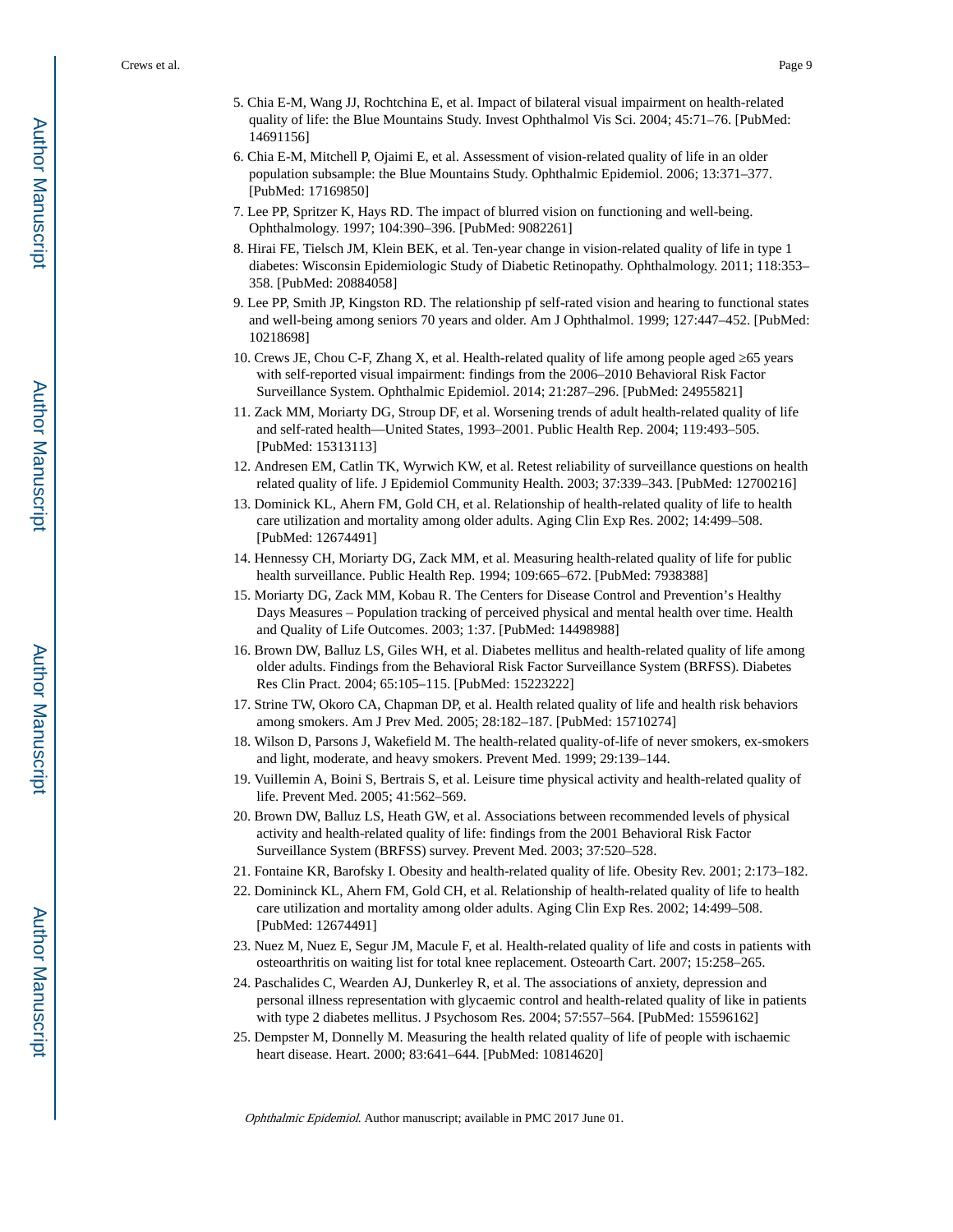- 5. Chia E-M, Wang JJ, Rochtchina E, et al. Impact of bilateral visual impairment on health-related quality of life: the Blue Mountains Study. Invest Ophthalmol Vis Sci. 2004; 45:71–76. [PubMed: 14691156]
- 6. Chia E-M, Mitchell P, Ojaimi E, et al. Assessment of vision-related quality of life in an older population subsample: the Blue Mountains Study. Ophthalmic Epidemiol. 2006; 13:371–377. [PubMed: 17169850]
- 7. Lee PP, Spritzer K, Hays RD. The impact of blurred vision on functioning and well-being. Ophthalmology. 1997; 104:390–396. [PubMed: 9082261]
- 8. Hirai FE, Tielsch JM, Klein BEK, et al. Ten-year change in vision-related quality of life in type 1 diabetes: Wisconsin Epidemiologic Study of Diabetic Retinopathy. Ophthalmology. 2011; 118:353– 358. [PubMed: 20884058]
- 9. Lee PP, Smith JP, Kingston RD. The relationship pf self-rated vision and hearing to functional states and well-being among seniors 70 years and older. Am J Ophthalmol. 1999; 127:447–452. [PubMed: 10218698]
- 10. Crews JE, Chou C-F, Zhang X, et al. Health-related quality of life among people aged 65 years with self-reported visual impairment: findings from the 2006–2010 Behavioral Risk Factor Surveillance System. Ophthalmic Epidemiol. 2014; 21:287–296. [PubMed: 24955821]
- 11. Zack MM, Moriarty DG, Stroup DF, et al. Worsening trends of adult health-related quality of life and self-rated health—United States, 1993–2001. Public Health Rep. 2004; 119:493–505. [PubMed: 15313113]
- 12. Andresen EM, Catlin TK, Wyrwich KW, et al. Retest reliability of surveillance questions on health related quality of life. J Epidemiol Community Health. 2003; 37:339–343. [PubMed: 12700216]
- 13. Dominick KL, Ahern FM, Gold CH, et al. Relationship of health-related quality of life to health care utilization and mortality among older adults. Aging Clin Exp Res. 2002; 14:499–508. [PubMed: 12674491]
- 14. Hennessy CH, Moriarty DG, Zack MM, et al. Measuring health-related quality of life for public health surveillance. Public Health Rep. 1994; 109:665–672. [PubMed: 7938388]
- 15. Moriarty DG, Zack MM, Kobau R. The Centers for Disease Control and Prevention's Healthy Days Measures – Population tracking of perceived physical and mental health over time. Health and Quality of Life Outcomes. 2003; 1:37. [PubMed: 14498988]
- 16. Brown DW, Balluz LS, Giles WH, et al. Diabetes mellitus and health-related quality of life among older adults. Findings from the Behavioral Risk Factor Surveillance System (BRFSS). Diabetes Res Clin Pract. 2004; 65:105–115. [PubMed: 15223222]
- 17. Strine TW, Okoro CA, Chapman DP, et al. Health related quality of life and health risk behaviors among smokers. Am J Prev Med. 2005; 28:182–187. [PubMed: 15710274]
- 18. Wilson D, Parsons J, Wakefield M. The health-related quality-of-life of never smokers, ex-smokers and light, moderate, and heavy smokers. Prevent Med. 1999; 29:139–144.
- 19. Vuillemin A, Boini S, Bertrais S, et al. Leisure time physical activity and health-related quality of life. Prevent Med. 2005; 41:562–569.
- 20. Brown DW, Balluz LS, Heath GW, et al. Associations between recommended levels of physical activity and health-related quality of life: findings from the 2001 Behavioral Risk Factor Surveillance System (BRFSS) survey. Prevent Med. 2003; 37:520–528.
- 21. Fontaine KR, Barofsky I. Obesity and health-related quality of life. Obesity Rev. 2001; 2:173–182.
- 22. Domininck KL, Ahern FM, Gold CH, et al. Relationship of health-related quality of life to health care utilization and mortality among older adults. Aging Clin Exp Res. 2002; 14:499–508. [PubMed: 12674491]
- 23. Nuez M, Nuez E, Segur JM, Macule F, et al. Health-related quality of life and costs in patients with osteoarthritis on waiting list for total knee replacement. Osteoarth Cart. 2007; 15:258–265.
- 24. Paschalides C, Wearden AJ, Dunkerley R, et al. The associations of anxiety, depression and personal illness representation with glycaemic control and health-related quality of like in patients with type 2 diabetes mellitus. J Psychosom Res. 2004; 57:557–564. [PubMed: 15596162]
- 25. Dempster M, Donnelly M. Measuring the health related quality of life of people with ischaemic heart disease. Heart. 2000; 83:641–644. [PubMed: 10814620]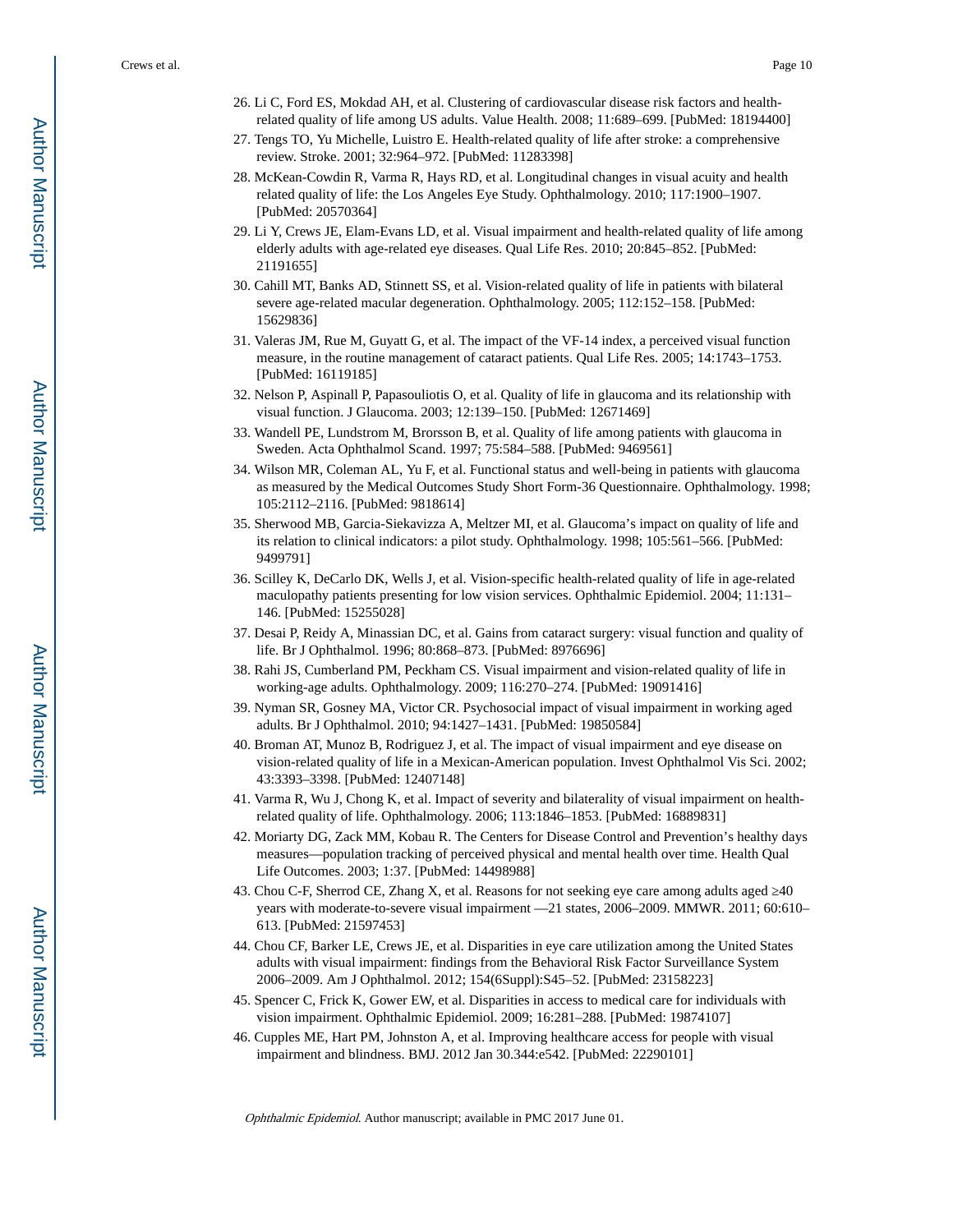- 26. Li C, Ford ES, Mokdad AH, et al. Clustering of cardiovascular disease risk factors and healthrelated quality of life among US adults. Value Health. 2008; 11:689–699. [PubMed: 18194400]
- 27. Tengs TO, Yu Michelle, Luistro E. Health-related quality of life after stroke: a comprehensive review. Stroke. 2001; 32:964–972. [PubMed: 11283398]
- 28. McKean-Cowdin R, Varma R, Hays RD, et al. Longitudinal changes in visual acuity and health related quality of life: the Los Angeles Eye Study. Ophthalmology. 2010; 117:1900–1907. [PubMed: 20570364]
- 29. Li Y, Crews JE, Elam-Evans LD, et al. Visual impairment and health-related quality of life among elderly adults with age-related eye diseases. Qual Life Res. 2010; 20:845–852. [PubMed: 21191655]
- 30. Cahill MT, Banks AD, Stinnett SS, et al. Vision-related quality of life in patients with bilateral severe age-related macular degeneration. Ophthalmology. 2005; 112:152–158. [PubMed: 15629836]
- 31. Valeras JM, Rue M, Guyatt G, et al. The impact of the VF-14 index, a perceived visual function measure, in the routine management of cataract patients. Qual Life Res. 2005; 14:1743–1753. [PubMed: 16119185]
- 32. Nelson P, Aspinall P, Papasouliotis O, et al. Quality of life in glaucoma and its relationship with visual function. J Glaucoma. 2003; 12:139–150. [PubMed: 12671469]
- 33. Wandell PE, Lundstrom M, Brorsson B, et al. Quality of life among patients with glaucoma in Sweden. Acta Ophthalmol Scand. 1997; 75:584–588. [PubMed: 9469561]
- 34. Wilson MR, Coleman AL, Yu F, et al. Functional status and well-being in patients with glaucoma as measured by the Medical Outcomes Study Short Form-36 Questionnaire. Ophthalmology. 1998; 105:2112–2116. [PubMed: 9818614]
- 35. Sherwood MB, Garcia-Siekavizza A, Meltzer MI, et al. Glaucoma's impact on quality of life and its relation to clinical indicators: a pilot study. Ophthalmology. 1998; 105:561–566. [PubMed: 9499791]
- 36. Scilley K, DeCarlo DK, Wells J, et al. Vision-specific health-related quality of life in age-related maculopathy patients presenting for low vision services. Ophthalmic Epidemiol. 2004; 11:131– 146. [PubMed: 15255028]
- 37. Desai P, Reidy A, Minassian DC, et al. Gains from cataract surgery: visual function and quality of life. Br J Ophthalmol. 1996; 80:868–873. [PubMed: 8976696]
- 38. Rahi JS, Cumberland PM, Peckham CS. Visual impairment and vision-related quality of life in working-age adults. Ophthalmology. 2009; 116:270–274. [PubMed: 19091416]
- 39. Nyman SR, Gosney MA, Victor CR. Psychosocial impact of visual impairment in working aged adults. Br J Ophthalmol. 2010; 94:1427–1431. [PubMed: 19850584]
- 40. Broman AT, Munoz B, Rodriguez J, et al. The impact of visual impairment and eye disease on vision-related quality of life in a Mexican-American population. Invest Ophthalmol Vis Sci. 2002; 43:3393–3398. [PubMed: 12407148]
- 41. Varma R, Wu J, Chong K, et al. Impact of severity and bilaterality of visual impairment on healthrelated quality of life. Ophthalmology. 2006; 113:1846–1853. [PubMed: 16889831]
- 42. Moriarty DG, Zack MM, Kobau R. The Centers for Disease Control and Prevention's healthy days measures—population tracking of perceived physical and mental health over time. Health Qual Life Outcomes. 2003; 1:37. [PubMed: 14498988]
- 43. Chou C-F, Sherrod CE, Zhang X, et al. Reasons for not seeking eye care among adults aged 40 years with moderate-to-severe visual impairment —21 states, 2006–2009. MMWR. 2011; 60:610– 613. [PubMed: 21597453]
- 44. Chou CF, Barker LE, Crews JE, et al. Disparities in eye care utilization among the United States adults with visual impairment: findings from the Behavioral Risk Factor Surveillance System 2006–2009. Am J Ophthalmol. 2012; 154(6Suppl):S45–52. [PubMed: 23158223]
- 45. Spencer C, Frick K, Gower EW, et al. Disparities in access to medical care for individuals with vision impairment. Ophthalmic Epidemiol. 2009; 16:281–288. [PubMed: 19874107]
- 46. Cupples ME, Hart PM, Johnston A, et al. Improving healthcare access for people with visual impairment and blindness. BMJ. 2012 Jan 30.344:e542. [PubMed: 22290101]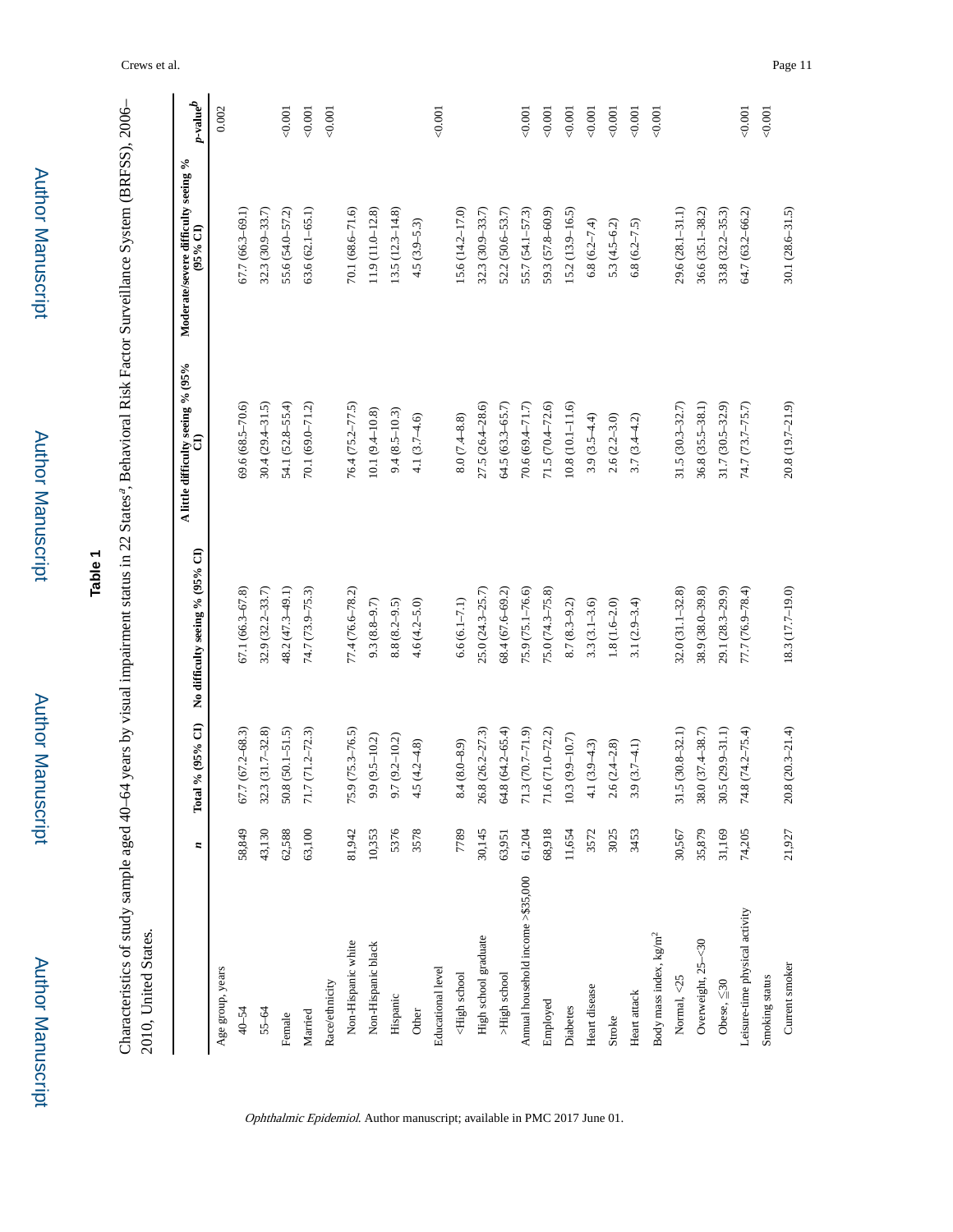| 2010, United States.               |        |                     |                                 |                                                     |                                                         |                 |
|------------------------------------|--------|---------------------|---------------------------------|-----------------------------------------------------|---------------------------------------------------------|-----------------|
|                                    | z      | % (95% CI)<br>Total | No difficulty seeing % (95% CI) | A little difficulty seeing % (95%)<br>$\frac{1}{2}$ | Moderate/severe difficulty seeing %<br>$(95\%~\rm{CI})$ | $p$ -value $^b$ |
| Age group, years                   |        |                     |                                 |                                                     |                                                         | 0.002           |
| $40 - 54$                          | 58,849 | $67.7(67.2 - 68.3)$ | $67.1(66.3 - 67.8)$             | $69.6(68.5 - 70.6)$                                 | $67.7(66.3 - 69.1)$                                     |                 |
| $55 - 64$                          | 43,130 | $32.3(31.7-32.8)$   | 32.9 (32.2-33.7)                | $30.4(29.4 - 31.5)$                                 | $32.3(30.9-33.7)$                                       |                 |
| Female                             | 62,588 | $50.8(50.1 - 51.5)$ | 48.2 (47.3-49.1)                | 54.1 (52.8-55.4)                                    | 55.6 (54.0-57.2)                                        | 0.001           |
| Married                            | 63,100 | $71.7(71.2 - 72.3)$ | 74.7 (73.9–75.3)                | 70.1 (69.0-71.2)                                    | $63.6(62.1 - 65.1)$                                     | 0.001           |
| Race/ethnicity                     |        |                     |                                 |                                                     |                                                         | 0.001           |
| Non-Hispanic white                 | 81,942 | $75.9(75.3 - 76.5)$ | 77.4 (76.6-78.2)                | 76.4 (75.2-77.5)                                    | 70.1 (68.6-71.6)                                        |                 |
| Non-Hispanic black                 | 10,353 | $9.9(9.5 - 10.2)$   | $9.3(8.8-9.7)$                  | $10.1(9.4 - 10.8)$                                  | $11.9(11.0-12.8)$                                       |                 |
| Hispanic                           | 5376   | $9.7(9.2 - 10.2)$   | $8.8(8.2 - 9.5)$                | $9.4(8.5-10.3)$                                     | $13.5(12.3 - 14.8)$                                     |                 |
| Other                              | 3578   | $4.5(4.2 - 4.8)$    | $4.6(4.2 - 5.0)$                | $4.1(3.7 - 4.6)$                                    | $4.5(3.9 - 5.3)$                                        |                 |
| Educational level                  |        |                     |                                 |                                                     |                                                         | 0.001           |
| $<$ High school                    | 7789   | $8.4(8.0 - 8.9)$    | $6.6(6.1 - 7.1)$                | $8.0(7.4 - 8.8)$                                    | $15.6(14.2 - 17.0)$                                     |                 |
| High school graduate               | 30,145 | 26.8 (26.2-27.3)    | $25.0(24.3 - 25.7)$             | 27.5 (26.4-28.6)                                    | 32.3 (30.9-33.7)                                        |                 |
| $>\!\!{\rm High}$ school           | 63,951 | $64.8(64.2 - 65.4)$ | 68.4 (67.6–69.2)                | $64.5(63.3 - 65.7)$                                 | 52.2 (50.6-53.7)                                        |                 |
| Annual household income > \$35,000 | 61,204 | $71.3(70.7 - 71.9)$ | 75.9 (75.1-76.6)                | $70.6(69.4 - 71.7)$                                 | 55.7 (54.1-57.3)                                        | 0.001           |
| Employed                           | 68,918 | 71.6 (71.0-72.2)    | 75.0 (74.3-75.8)                | 71.5 (70.4-72.6)                                    | 59.3 (57.8-60.9)                                        | 0.001           |
| Diabetes                           | 11,654 | $10.3(9.9 - 10.7)$  | $8.7(8.3-9.2)$                  | $10.8(10.1 - 11.6)$                                 | $15.2(13.9 - 16.5)$                                     | 0.001           |
| Heart disease                      | 3572   | $4.1(3.9-4.3)$      | $3.3(3.1 - 3.6)$                | $3.9(3.5-4.4)$                                      | $6.8(6.2 - 7.4)$                                        | 0.001           |
| Stroke                             | 3025   | $2.6(2.4 - 2.8)$    | $1.8(1.6-2.0)$                  | $2.6(2.2 - 3.0)$                                    | 5.3 $(4.5 - 6.2)$                                       | 0.001           |
| Heart attack                       | 3453   | $3.9(3.7 - 4.1)$    | 3.1 $(2.9-3.4)$                 | $3.7(3.4-4.2)$                                      | $6.8(6.2 - 7.5)$                                        | 0.001           |
| Body mass index, kg/m <sup>2</sup> |        |                     |                                 |                                                     |                                                         | 0.001           |
| Normal, $<$ 25                     | 30,567 | $31.5(30.8 - 32.1)$ | $32.0(31.1 - 32.8)$             | $31.5(30.3 - 32.7)$                                 | $29.6(28.1 - 31.1)$                                     |                 |
| Overweight, 25-<30                 | 35,879 | 38.0 (37.4-38.7)    | 38.9 (38.0-39.8)                | $36.8(35.5 - 38.1)$                                 | $36.6(35.1 - 38.2)$                                     |                 |
| Obese, $\leq 30$                   | 31,169 | $30.5(29.9 - 31.1)$ | 29.1 (28.3-29.9)                | 31.7 (30.5-32.9)                                    | 33.8 (32.2-35.3)                                        |                 |
| Leisure-time physical activity     | 74,205 | 74.8 (74.2-75.4)    | 77.7 (76.9-78.4)                | 74.7 (73.7–75.7)                                    | 64.7 (63.2-66.2)                                        | 0.001           |
| Smoking status                     |        |                     |                                 |                                                     |                                                         | 0.001           |
| Current smoker                     | 21,927 | $20.8(20.3 - 21.4)$ | 18.3 (17.7-19.0)                | 20.8 (19.7-21.9)                                    | $30.1(28.6 - 31.5)$                                     |                 |

Ophthalmic Epidemiol. Author manuscript; available in PMC 2017 June 01.

 Author Manuscript**Author Manuscript** 

**Table 1**

Characteristics of study sample aged 40-64 years by visual impairment status in 22 States4, Behavioral Risk Factor Surveillance System (BRFSS), 2006-

, Behavioral Risk Factor Surveillance System (BRFSS), 2006–

Characteristics of study sample aged 40–64 years by visual impairment status in 22 States

Author Manuscript

Author Manuscript

Author Manuscript

Author Manuscript

Crews et al. Page 11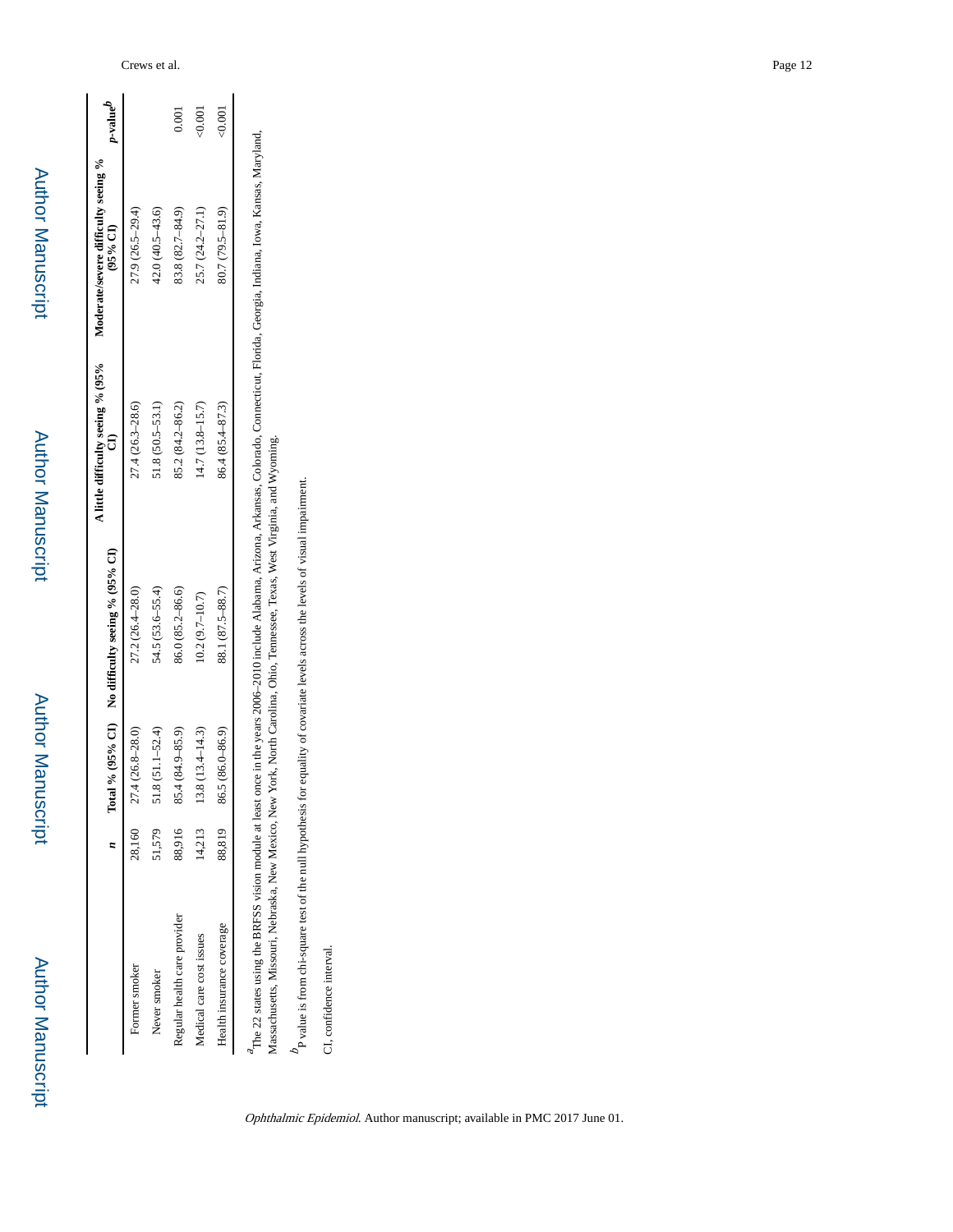| ļ |
|---|
|   |
|   |
|   |
|   |
|   |
|   |
|   |
|   |
|   |
|   |
| ٠ |

Author Manuscript

**Author Manuscript** 

| 27.4 (26.8–28.0)<br>$51.8(51.1 - 52.4)$<br>Total<br>28,160<br>1,579<br>Former smoker<br>Never smoker | % (95% CI) No difficulty seeing % (95% CI)<br>$27.2(26.4 - 28.0)$ |                     | $(95%$ CD           | p-value <sup>b</sup> |
|------------------------------------------------------------------------------------------------------|-------------------------------------------------------------------|---------------------|---------------------|----------------------|
|                                                                                                      |                                                                   |                     |                     |                      |
|                                                                                                      |                                                                   | $27.4(26.3 - 28.6)$ | $27.9(26.5-29.4)$   |                      |
|                                                                                                      | $54.5(53.6 - 55.4)$                                               | $(1.8(50.5-53.1))$  | $42.0(40.5 - 43.6)$ |                      |
| $85.4(84.9 - 85.9)$<br>88,916<br>Regular health care provider                                        | 86.0 (85.2-86.6)                                                  | $85.2(84.2 - 86.2)$ | $83.8(82.7 - 84.9)$ | $\rm{0.001}$         |
| $13.8(13.4 - 14.3)$<br>4,213<br>Aedical care cost issues                                             | $10.2(9.7-10.7)$                                                  | $4.7(13.8-15.7)$    | 25.7 (24.2–27.1)    | $\overline{0}0$      |
| 88,819 86.5 (86.0–86.9)<br>Health insurance coverage                                                 | 88.1 (87.5-88.7)                                                  | 86.4 (85.4-87.3)    | $80.7(79.5 - 81.9)$ | $-0.001$             |

<sup>4</sup>The 22 states using the BRFSS vision module at least once in the years 2006–2010 include Alabama, Arizona, Arkansas, Colorado, Connecticut, Florida, Georgia, Indiana, Iowa, Kansas, Maryland,<br>Massachusetts, Missouri, Neb The 22 states using the BRFSS vision module at least once in the years 2006–2010 include Alabama, Arizona, Arkansas, Colorado, Connecticut, Florida, Georgia, Indiana, Iowa, Kansas, Maryland, Massachusetts, Missouri, Nebraska, New Mexico, New York, North Carolina, Ohio, Tennessee, Texas, West Virginia, and Wyoming.

 $b<sub>p</sub>$  value is from chi-square test of the null hypothesis for equality of covariate levels across the levels of visual impairment. P value is from chi-square test of the null hypothesis for equality of covariate levels across the levels of visual impairment.

CI, confidence interval. CI, confidence interval.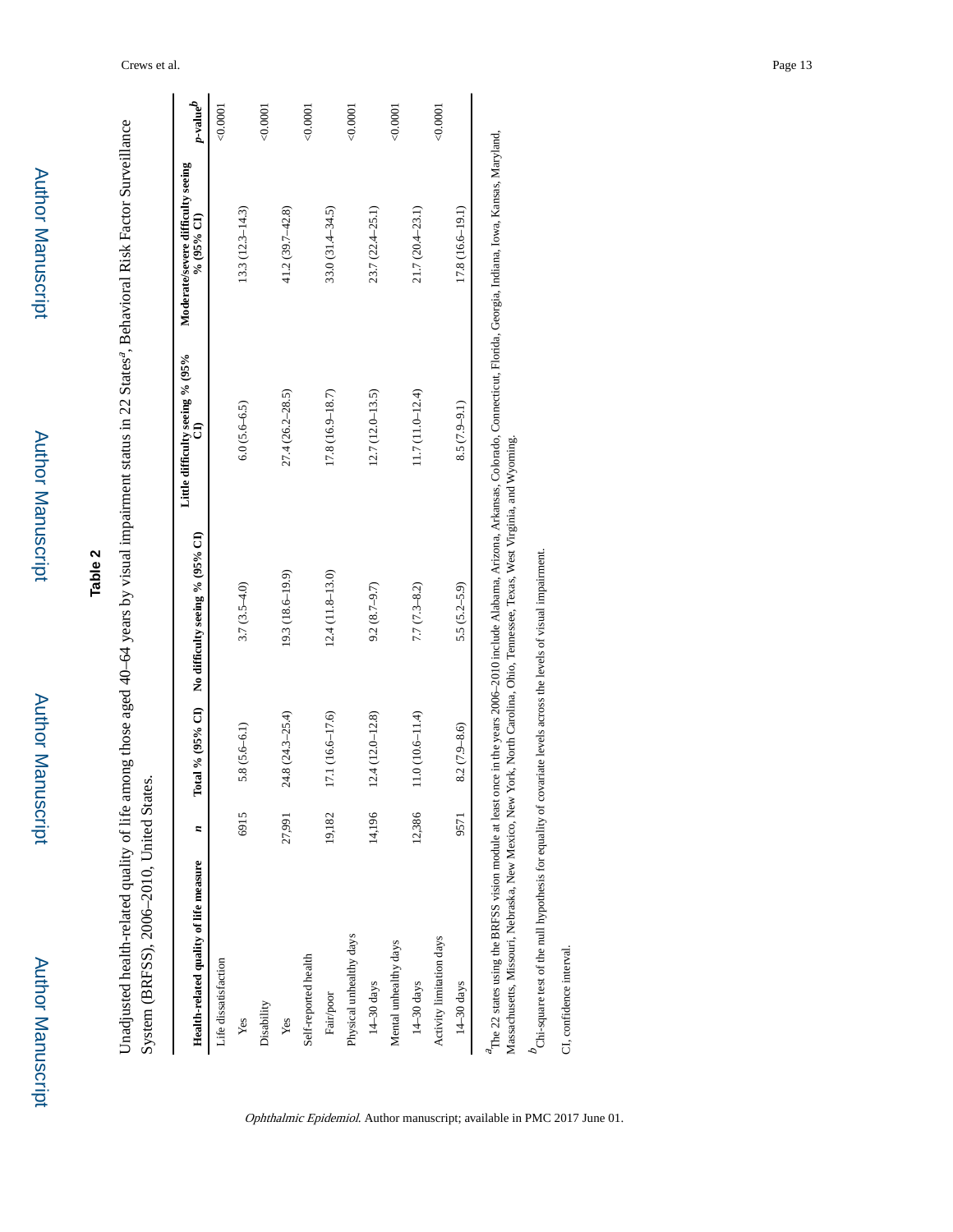Author Manuscript Author Manuscript

Author Manuscript

**Author Manuscript** 

# **Table 2**

 , Behavioral Risk Factor Surveillance Unadjusted health-related quality of life among those aged 40-64 years by visual impairment status in 22 States<sup>4</sup>, Behavioral Risk Factor Surveillance Unadjusted health-related quality of life among those aged 40–64 years by visual impairment status in 22 States System (BRFSS), 2006-2010, United States. System (BRFSS), 2006–2010, United States.

| Health-related quality of life measure | z      | දි                  | otal % (95% CI) No difficulty seeing % (95% CI) | Little difficulty seeing % (95%<br>$\overline{\overline{c}}$ | Moderate/severe difficulty seeing<br>% (95% CI) | $p$ -value $b$ |
|----------------------------------------|--------|---------------------|-------------------------------------------------|--------------------------------------------------------------|-------------------------------------------------|----------------|
| Life dissatisfaction                   |        |                     |                                                 |                                                              |                                                 | 0.0001         |
| Yes                                    | 6915   | $5.8(5.6-6.1)$      | $3.7(3.5-4.0)$                                  | $6.0(5.6-6.5)$                                               | $13.3(12.3 - 14.3)$                             |                |
| Disability                             |        |                     |                                                 |                                                              |                                                 | 0.0001         |
| Yes                                    | 27,991 | 24.8 (24.3–25.4)    | $19.3(18.6-19.9)$                               | 27.4 (26.2-28.5)                                             | $41.2(39.7 - 42.8)$                             |                |
| Self-reported health                   |        |                     |                                                 |                                                              |                                                 | 0.0001         |
| Fair/poor                              | 19,182 | 17.1 (16.6-17.6)    | $12.4(11.8-13.0)$                               | $17.8(16.9 - 18.7)$                                          | $33.0(31.4 - 34.5)$                             |                |
| Physical unhealthy days                |        |                     |                                                 |                                                              |                                                 | 0.0001         |
| $14 - 30$ days                         | 14,196 | $12.4(12.0 - 12.8)$ | $9.2 (8.7 - 9.7)$                               | $12.7(12.0-13.5)$                                            | 23.7 (22.4-25.1)                                |                |
| Mental unhealthy days                  |        |                     |                                                 |                                                              |                                                 | 0.0001         |
| $14 - 30$ days                         | 12,386 | $11.0(10.6-11.4)$   | $7.7(7.3-8.2)$                                  | 11.7 (11.0-12.4)                                             | 21.7 (20.4-23.1)                                |                |
| Activity limitation days               |        |                     |                                                 |                                                              |                                                 | 0.0001         |
| $14 - 30$ days                         | 9571   | $8.2(7.9 - 8.6)$    | $5.5(5.2 - 5.9)$                                | $8.5(7.9-9.1)$                                               | $17.8(16.6-19.1)$                               |                |

The 22 states using the BRFSS vision module at least once in the years 2006–2010 include Alabama, Arizona, Arkansas, Colorado, Connecticut, Florida, Georgia, Indiana, Iowa, Kansas, Maryland,<br>Massachusetts, Missouri, Nebras The 22 states using the BRFSS vision module at least once in the years 2006–2010 include Alabama, Arizona, Arkansas, Colorado, Connecticut, Florida, Georgia, Indiana, Iowa, Kansas, Maryland, Massachusetts, Missouri, Nebraska, New Mexico, New York, North Carolina, Ohio, Tennessee, Texas, West Virginia, and Wyoming.

 $b_{\text{Chi-square}}$  test of the null hypothesis for equality of covariate levels across the levels of visual impairment. Chi-square test of the null hypothesis for equality of covariate levels across the levels of visual impairment.

CI, confidence interval. CI, confidence interval.